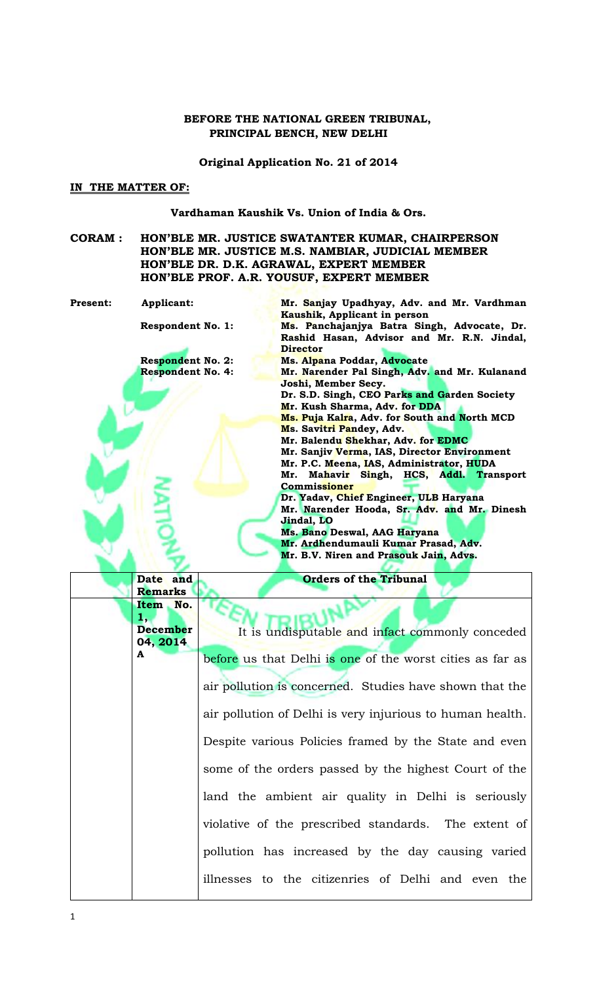### **BEFORE THE NATIONAL GREEN TRIBUNAL, PRINCIPAL BENCH, NEW DELHI**

**Original Application No. 21 of 2014**

#### **IN THE MATTER OF:**

**Date and Remarks**

**Item No.** 

**1,** 

**A**

**Vardhaman Kaushik Vs. Union of India & Ors.**

- **CORAM : HON'BLE MR. JUSTICE SWATANTER KUMAR, CHAIRPERSON HON'BLE MR. JUSTICE M.S. NAMBIAR, JUDICIAL MEMBER HON'BLE DR. D.K. AGRAWAL, EXPERT MEMBER HON'BLE PROF. A.R. YOUSUF, EXPERT MEMBER**
- **Present:** Applicant: **Mr. Sanjay Upadhyay, Adv. and Mr. Vardhman Kaushik, Applicant in person Respondent No. 1: Ms. Panchajanjya Batra Singh, Advocate, Dr. Rashid Hasan, Advisor and Mr. R.N. Jindal, Director Respondent No. 2: Ms. Alpana Poddar, Advocate Respondent No. 4: Mr. Narender Pal Singh, Adv. and Mr. Kulanand Joshi, Member Secy. Dr. S.D. Singh, CEO Parks and Garden Society Mr. Kush Sharma, Adv. for DDA Ms. Puja Kalra, Adv. for South and North MCD Ms. Savitri Pandey, Adv. Mr. Balendu Shekhar, Adv. for EDMC Mr. Sanjiv Verma, IAS, Director Environment Mr. P.C. Meena, IAS, Administrator, HUDA Mr. Mahavir Singh, HCS, Addl. Transport Commissioner Dr. Yadav, Chief Engineer, ULB Haryana Mr. Narender Hooda, Sr. Adv. and Mr. Dinesh Jindal, LO Ms. Bano Deswal, AAG Haryana Mr. Ardhendumauli Kumar Prasad, Adv. Mr. B.V. Niren and Prasouk Jain, Advs.**

**Orders of the Tribunal**

**December 04, 2014** It is undisputable and infact commonly conceded before us that Delhi is one of the worst cities as far as air pollution is concerned. Studies have shown that the air pollution of Delhi is very injurious to human health. Despite various Policies framed by the State and even some of the orders passed by the highest Court of the land the ambient air quality in Delhi is seriously violative of the prescribed standards. The extent of pollution has increased by the day causing varied illnesses to the citizenries of Delhi and even the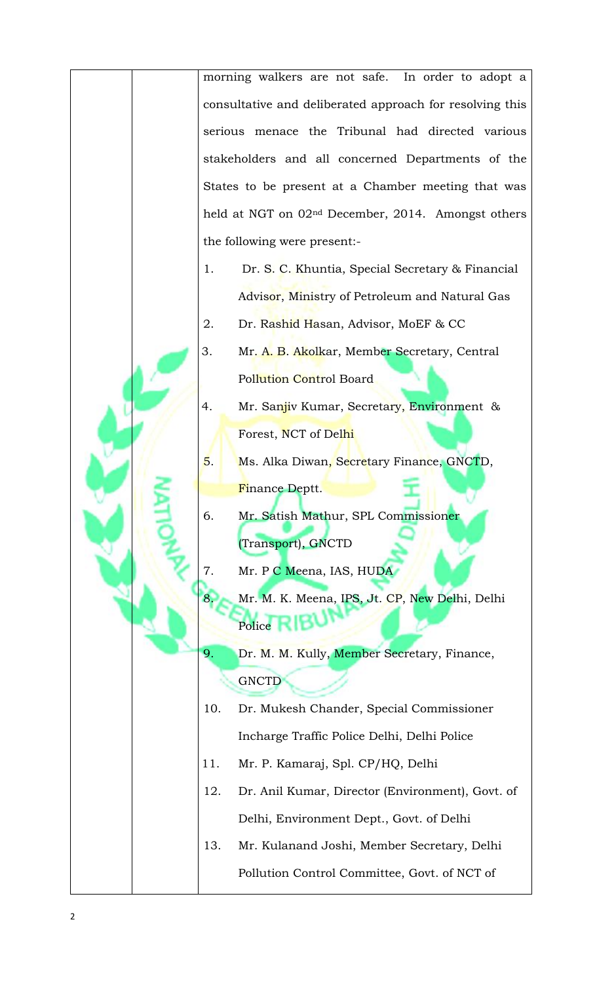morning walkers are not safe. In order to adopt a consultative and deliberated approach for resolving this serious menace the Tribunal had directed various stakeholders and all concerned Departments of the States to be present at a Chamber meeting that was held at NGT on 02nd December, 2014. Amongst others the following were present:-

- 1. Dr. S. C. Khuntia, Special Secretary & Financial Advisor, Ministry of Petroleum and Natural Gas
- 2. Dr. Rashid Hasan, Advisor, MoEF & CC
- 3. Mr. A. B. Akolkar, Member Secretary, Central Pollution Control Board
- 4. Mr. Sanjiv Kumar, Secretary, Environment & Forest, NCT of Delhi
- 5. Ms. Alka Diwan, Secretary Finance, GNCTD, Finance Deptt.
- 6. Mr. Satish Mathur, SPL Commissioner (Transport), GNCTD
- 7. Mr. P C Meena, IAS, HUDA
- 8. Mr. M. K. Meena, IPS, Jt. CP, New Delhi, Delhi Police RIBU
- 9. Dr. M. M. Kully, Member Secretary, Finance, **GNCTD**
- 10. Dr. Mukesh Chander, Special Commissioner Incharge Traffic Police Delhi, Delhi Police
- 11. Mr. P. Kamaraj, Spl. CP/HQ, Delhi
- 12. Dr. Anil Kumar, Director (Environment), Govt. of Delhi, Environment Dept., Govt. of Delhi
- 13. Mr. Kulanand Joshi, Member Secretary, Delhi Pollution Control Committee, Govt. of NCT of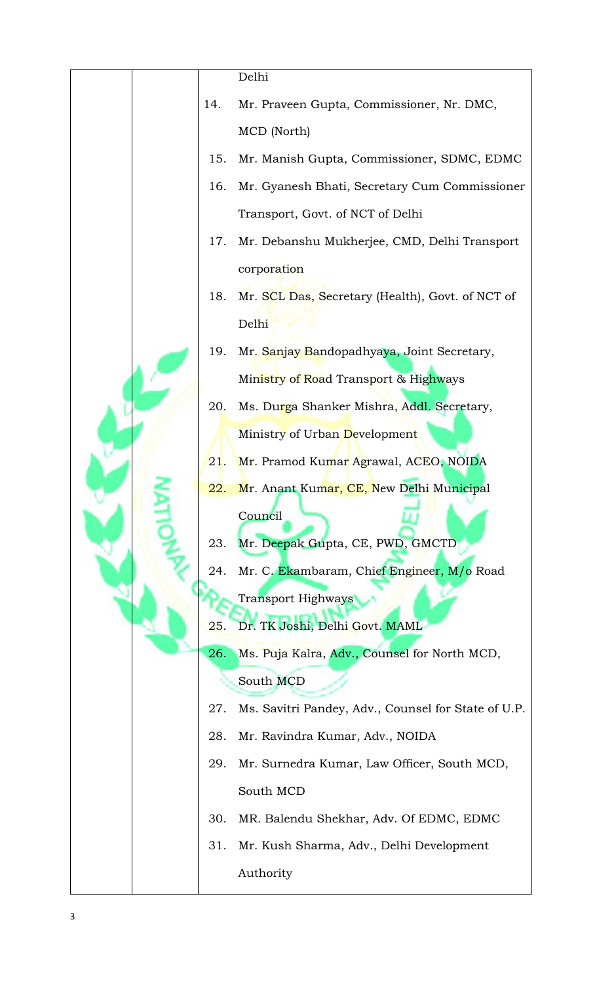|  |     | Delhi                                               |
|--|-----|-----------------------------------------------------|
|  | 14. | Mr. Praveen Gupta, Commissioner, Nr. DMC,           |
|  |     | MCD (North)                                         |
|  | 15. | Mr. Manish Gupta, Commissioner, SDMC, EDMC          |
|  | 16. | Mr. Gyanesh Bhati, Secretary Cum Commissioner       |
|  |     | Transport, Govt. of NCT of Delhi                    |
|  | 17. | Mr. Debanshu Mukherjee, CMD, Delhi Transport        |
|  |     | corporation                                         |
|  | 18. | Mr. SCL Das, Secretary (Health), Govt. of NCT of    |
|  |     | Delhi                                               |
|  | 19. | Mr. Sanjay Bandopadhyaya, Joint Secretary,          |
|  |     | Ministry of Road Transport & Highways               |
|  | 20. | Ms. Durga Shanker Mishra, Addl. Secretary,          |
|  |     | Ministry of Urban Development                       |
|  | 21. | Mr. Pramod Kumar Agrawal, ACEO, NOIDA               |
|  | 22. | Mr. Anant Kumar, CE, New Delhi Municipal            |
|  |     | Council                                             |
|  | 23. | Mr. Deepak Gupta, CE, PWD, GMCTD                    |
|  | 24. | Mr. C. Ekambaram, Chief Engineer, M/o Road          |
|  |     | <b>Transport Highways</b>                           |
|  | 25. | Dr. TK Joshi, Delhi Govt. MAML                      |
|  | 26. | Ms. Puja Kalra, Adv., Counsel for North MCD,        |
|  |     | South MCD                                           |
|  | 27. | Ms. Savitri Pandey, Adv., Counsel for State of U.P. |
|  | 28. | Mr. Ravindra Kumar, Adv., NOIDA                     |
|  | 29. | Mr. Surnedra Kumar, Law Officer, South MCD,         |
|  |     | South MCD                                           |
|  | 30. | MR. Balendu Shekhar, Adv. Of EDMC, EDMC             |
|  | 31. | Mr. Kush Sharma, Adv., Delhi Development            |
|  |     | Authority                                           |
|  |     |                                                     |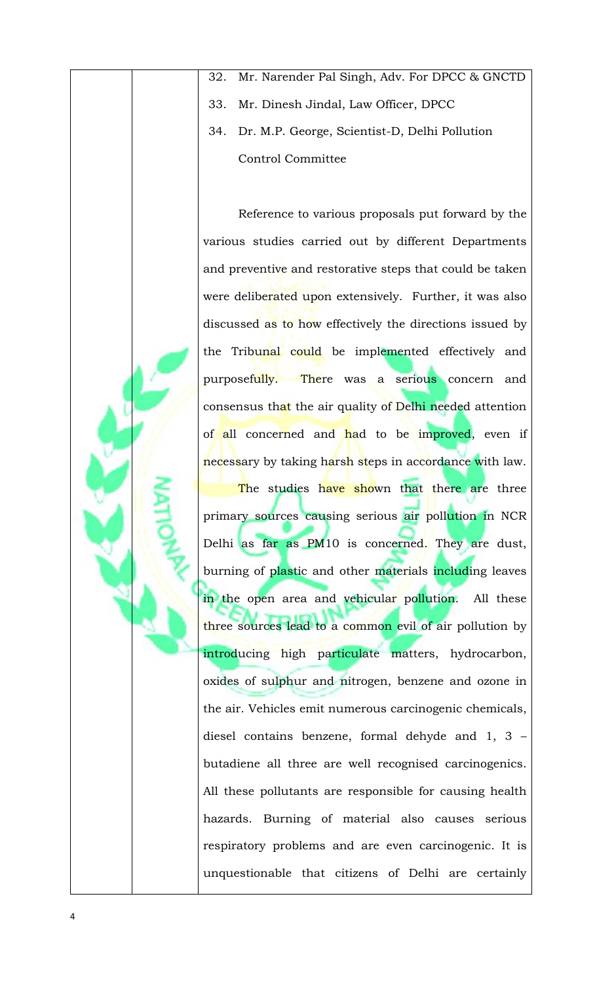- 32. Mr. Narender Pal Singh, Adv. For DPCC & GNCTD
- 33. Mr. Dinesh Jindal, Law Officer, DPCC
- 34. Dr. M.P. George, Scientist-D, Delhi Pollution Control Committee

Reference to various proposals put forward by the various studies carried out by different Departments and preventive and restorative steps that could be taken were deliberated upon extensively. Further, it was also discussed as to how effectively the directions issued by the Tribunal could be implemented effectively and purposefully. There was a serious concern and consensus that the air quality of Delhi needed attention of all concerned and had to be improved, even if necessary by taking harsh steps in accordance with law. The studies have shown that there are three primary sources causing serious air pollution in NCR Delhi as far as PM10 is concerned. They are dust, burning of plastic and other materials including leaves in the open area and vehicular pollution. All these three sources lead to a common evil of air pollution by introducing high particulate matters, hydrocarbon, oxides of sulphur and nitrogen, benzene and ozone in the air. Vehicles emit numerous carcinogenic chemicals, diesel contains benzene, formal dehyde and 1, 3 – butadiene all three are well recognised carcinogenics. All these pollutants are responsible for causing health hazards. Burning of material also causes serious respiratory problems and are even carcinogenic. It is unquestionable that citizens of Delhi are certainly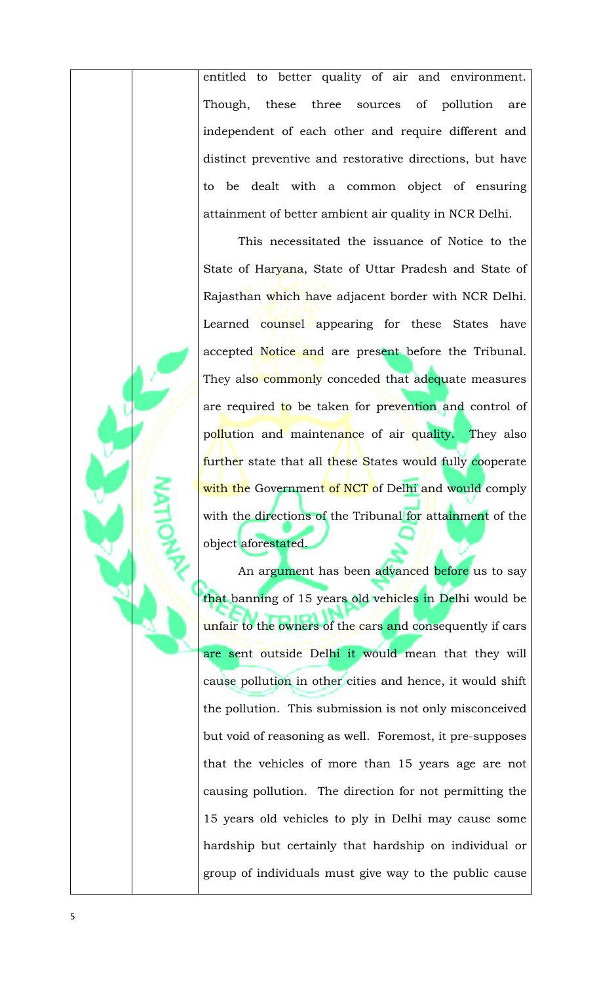entitled to better quality of air and environment. Though, these three sources of pollution are independent of each other and require different and distinct preventive and restorative directions, but have to be dealt with a common object of ensuring attainment of better ambient air quality in NCR Delhi.

This necessitated the issuance of Notice to the State of Haryana, State of Uttar Pradesh and State of Rajasthan which have adjacent border with NCR Delhi. Learned counsel appearing for these States have accepted Notice and are present before the Tribunal. They also commonly conceded that adequate measures are required to be taken for prevention and control of pollution and maintenance of air quality. They also further state that all these States would fully cooperate with the Government of NCT of Delhi and would comply with the directions of the Tribunal for attainment of the object aforestated.

An argument has been advanced before us to say that banning of 15 years old vehicles in Delhi would be unfair to the owners of the cars and consequently if cars are sent outside Delhi it would mean that they will cause pollution in other cities and hence, it would shift the pollution. This submission is not only misconceived but void of reasoning as well. Foremost, it pre-supposes that the vehicles of more than 15 years age are not causing pollution. The direction for not permitting the 15 years old vehicles to ply in Delhi may cause some hardship but certainly that hardship on individual or group of individuals must give way to the public cause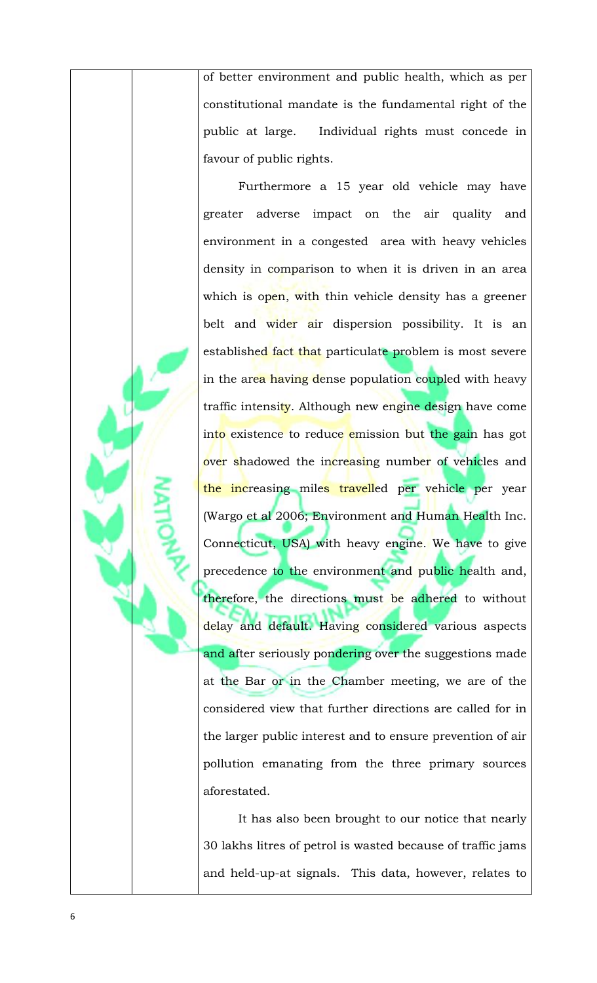of better environment and public health, which as per constitutional mandate is the fundamental right of the public at large. Individual rights must concede in favour of public rights.

Furthermore a 15 year old vehicle may have greater adverse impact on the air quality and environment in a congested area with heavy vehicles density in comparison to when it is driven in an area which is open, with thin vehicle density has a greener belt and wider air dispersion possibility. It is an established fact that particulate problem is most severe in the area having dense population coupled with heavy traffic intensity. Although new engine design have come into existence to reduce emission but the gain has got over shadowed the increasing number of vehicles and the increasing miles travelled per vehicle per year (Wargo et al 2006; Environment and Human Health Inc. Connecticut, USA) with heavy engine. We have to give precedence to the environment and public health and, therefore, the directions must be adhered to without delay and default. Having considered various aspects and after seriously pondering over the suggestions made at the Bar or in the Chamber meeting, we are of the considered view that further directions are called for in the larger public interest and to ensure prevention of air pollution emanating from the three primary sources aforestated.

It has also been brought to our notice that nearly 30 lakhs litres of petrol is wasted because of traffic jams and held-up-at signals. This data, however, relates to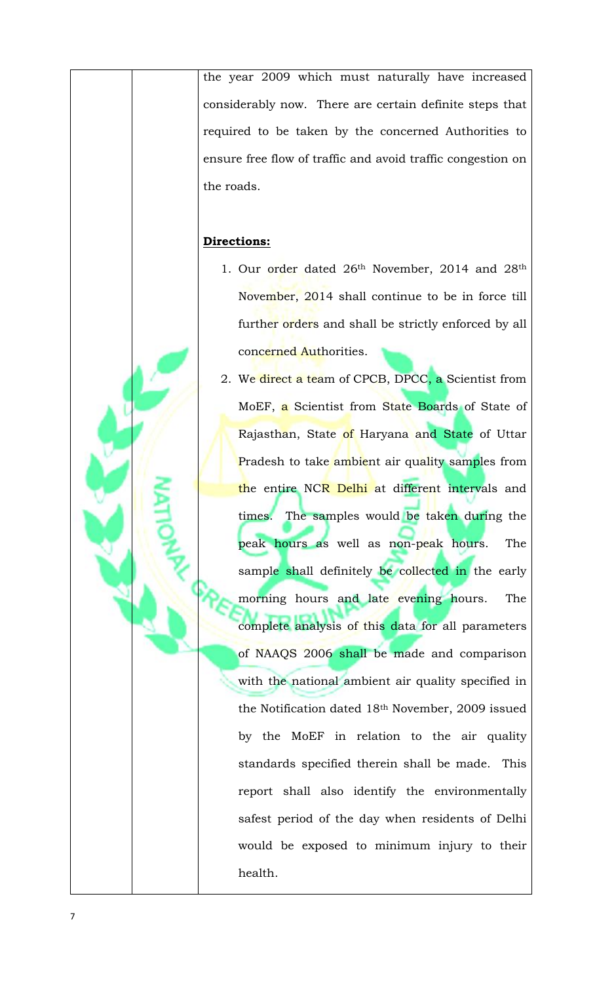the year 2009 which must naturally have increased considerably now. There are certain definite steps that required to be taken by the concerned Authorities to ensure free flow of traffic and avoid traffic congestion on the roads.

## **Directions:**

- 1. Our order dated 26<sup>th</sup> November, 2014 and 28<sup>th</sup> November, 2014 shall continue to be in force till further orders and shall be strictly enforced by all concerned Authorities.
- 2. We direct a team of CPCB, DPCC, a Scientist from MoEF, a Scientist from State Boards of State of Rajasthan, State of Haryana and State of Uttar Pradesh to take ambient air quality samples from the entire NCR Delhi at different intervals and times. The samples would be taken during the peak hours as well as non-peak hours. The sample shall definitely be collected in the early morning hours and late evening hours. The complete analysis of this data for all parameters of NAAQS 2006 shall be made and comparison with the national ambient air quality specified in the Notification dated 18th November, 2009 issued by the MoEF in relation to the air quality standards specified therein shall be made. This report shall also identify the environmentally safest period of the day when residents of Delhi would be exposed to minimum injury to their health.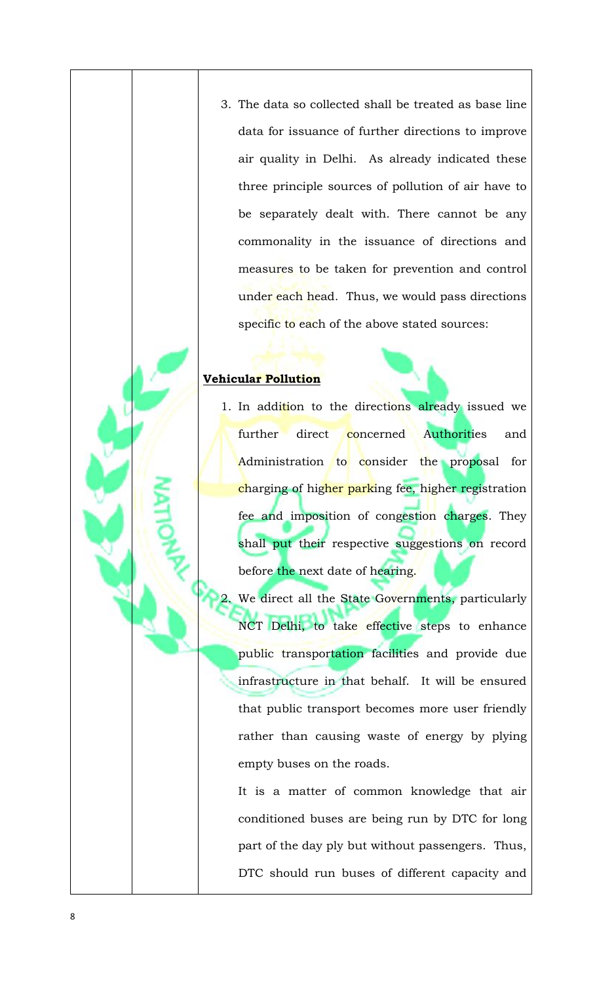3. The data so collected shall be treated as base line data for issuance of further directions to improve air quality in Delhi. As already indicated these three principle sources of pollution of air have to be separately dealt with. There cannot be any commonality in the issuance of directions and measures to be taken for prevention and control under each head. Thus, we would pass directions specific to each of the above stated sources:

# **Vehicular Pollution**

1. In addition to the directions already issued we further direct concerned Authorities and Administration to consider the proposal for charging of higher parking fee, higher registration fee and imposition of congestion charges. They shall put their respective suggestions on record before the next date of hearing.

We direct all the State Governments, particularly NCT Delhi, to take effective steps to enhance public transportation facilities and provide due infrastructure in that behalf. It will be ensured that public transport becomes more user friendly rather than causing waste of energy by plying empty buses on the roads.

It is a matter of common knowledge that air conditioned buses are being run by DTC for long part of the day ply but without passengers. Thus, DTC should run buses of different capacity and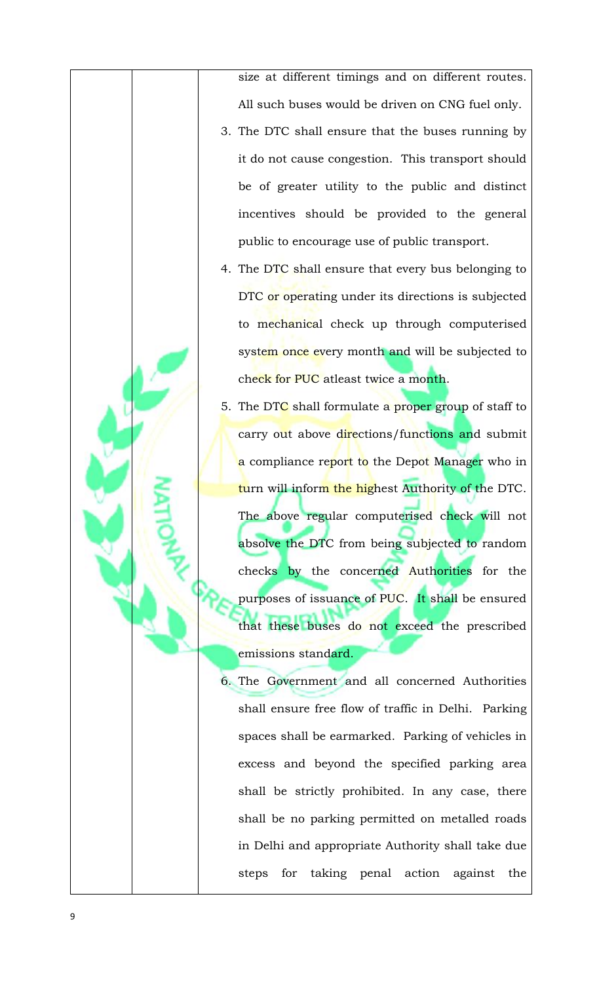size at different timings and on different routes. All such buses would be driven on CNG fuel only.

- 3. The DTC shall ensure that the buses running by it do not cause congestion. This transport should be of greater utility to the public and distinct incentives should be provided to the general public to encourage use of public transport.
- 4. The DTC shall ensure that every bus belonging to DTC or operating under its directions is subjected to mechanical check up through computerised system once every month and will be subjected to check for PUC atleast twice a month.
- 5. The DTC shall formulate a proper group of staff to carry out above directions/functions and submit a compliance report to the Depot Manager who in turn will inform the highest Authority of the DTC. The above regular computerised check will not absolve the DTC from being subjected to random checks by the concerned Authorities for the purposes of issuance of PUC. It shall be ensured that these buses do not exceed the prescribed emissions standard.

6. The Government and all concerned Authorities shall ensure free flow of traffic in Delhi. Parking spaces shall be earmarked. Parking of vehicles in excess and beyond the specified parking area shall be strictly prohibited. In any case, there shall be no parking permitted on metalled roads in Delhi and appropriate Authority shall take due steps for taking penal action against the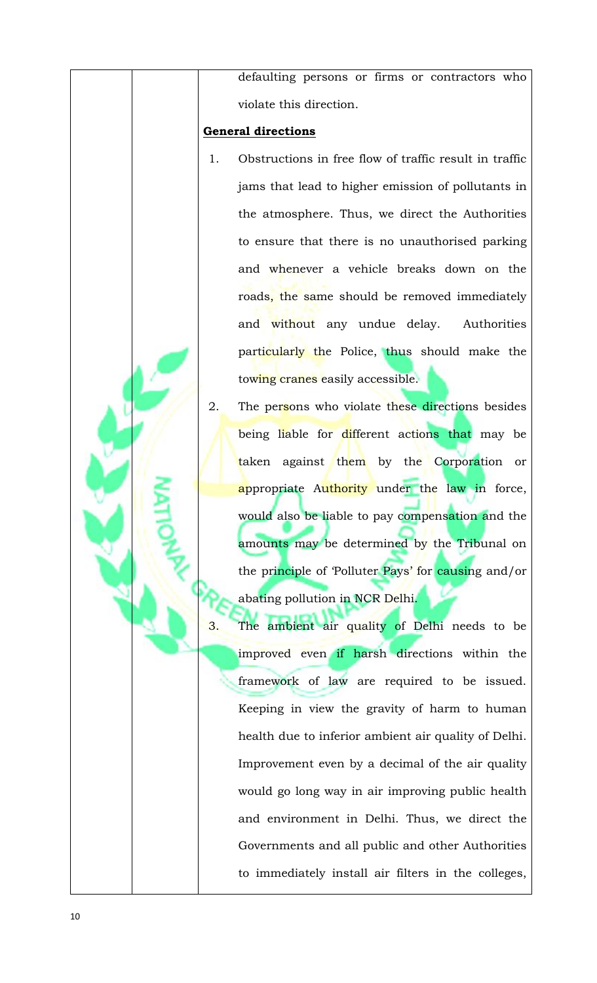defaulting persons or firms or contractors who violate this direction.

# **General directions**

- 1. Obstructions in free flow of traffic result in traffic jams that lead to higher emission of pollutants in the atmosphere. Thus, we direct the Authorities to ensure that there is no unauthorised parking and whenever a vehicle breaks down on the roads, the same should be removed immediately and without any undue delay. Authorities particularly the Police, thus should make the towing cranes easily accessible.
- 2. The persons who violate these directions besides being liable for different actions that may be taken against them by the Corporation or <mark>a</mark>ppropriate Authority under the law in force, would also be liable to pay compensation and the amounts may be determined by the Tribunal on the principle of 'Polluter Pays' for causing and/or abating pollution in NCR Delhi.
- 3. The ambient air quality of Delhi needs to be improved even if harsh directions within the framework of law are required to be issued. Keeping in view the gravity of harm to human health due to inferior ambient air quality of Delhi. Improvement even by a decimal of the air quality would go long way in air improving public health and environment in Delhi. Thus, we direct the Governments and all public and other Authorities to immediately install air filters in the colleges,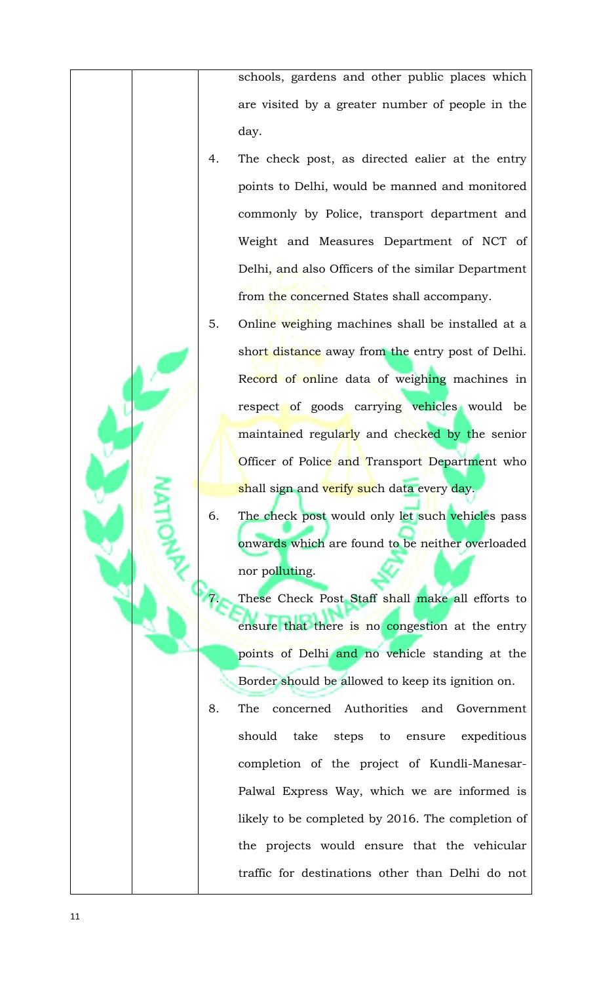schools, gardens and other public places which are visited by a greater number of people in the day.

- 4. The check post, as directed ealier at the entry points to Delhi, would be manned and monitored commonly by Police, transport department and Weight and Measures Department of NCT of Delhi, and also Officers of the similar Department from the concerned States shall accompany.
- 5. Online weighing machines shall be installed at a short distance away from the entry post of Delhi. Record of online data of weighing machines in respect of goods carrying vehicles would be maintained regularly and checked by the senior Officer of Police and Transport Department who <mark>sh</mark>all sign and <mark>verify suc</mark>h data every day.
- 6. The check post would only let such vehicles pass onwards which are found to be neither overloaded nor polluting.
	- These Check Post Staff shall make all efforts to ensure that there is no congestion at the entry points of Delhi and no vehicle standing at the Border should be allowed to keep its ignition on.
- 8. The concerned Authorities and Government should take steps to ensure expeditious completion of the project of Kundli-Manesar-Palwal Express Way, which we are informed is likely to be completed by 2016. The completion of the projects would ensure that the vehicular traffic for destinations other than Delhi do not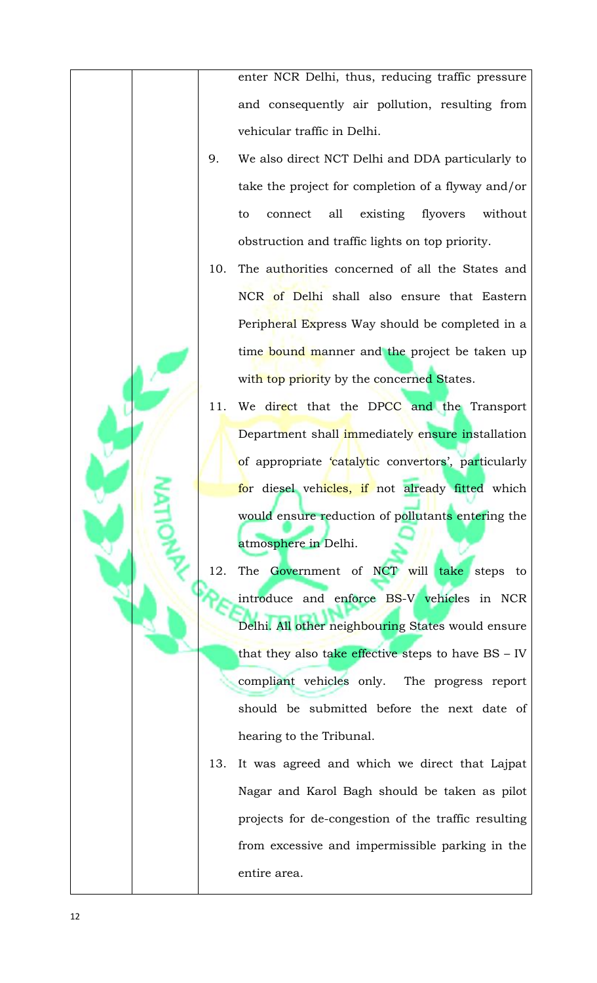enter NCR Delhi, thus, reducing traffic pressure and consequently air pollution, resulting from vehicular traffic in Delhi.

- 9. We also direct NCT Delhi and DDA particularly to take the project for completion of a flyway and/or to connect all existing flyovers without obstruction and traffic lights on top priority.
- 10. The authorities concerned of all the States and NCR of Delhi shall also ensure that Eastern Peripheral Express Way should be completed in a time bound manner and the project be taken up with top priority by the concerned States.
- 11. We direct that the DPCC and the Transport Department shall immediately ensure installation of appropriate 'catalytic convertors', particularly for diesel vehicles, if not already fitted which would ensure reduction of pollutants entering the atmosphere in Delhi.
- 12. The Government of NCT will take steps to introduce and enforce BS-V vehicles in NCR Delhi. All other neighbouring States would ensure that they also take effective steps to have BS - IV compliant vehicles only. The progress report should be submitted before the next date of hearing to the Tribunal.
- 13. It was agreed and which we direct that Lajpat Nagar and Karol Bagh should be taken as pilot projects for de-congestion of the traffic resulting from excessive and impermissible parking in the entire area.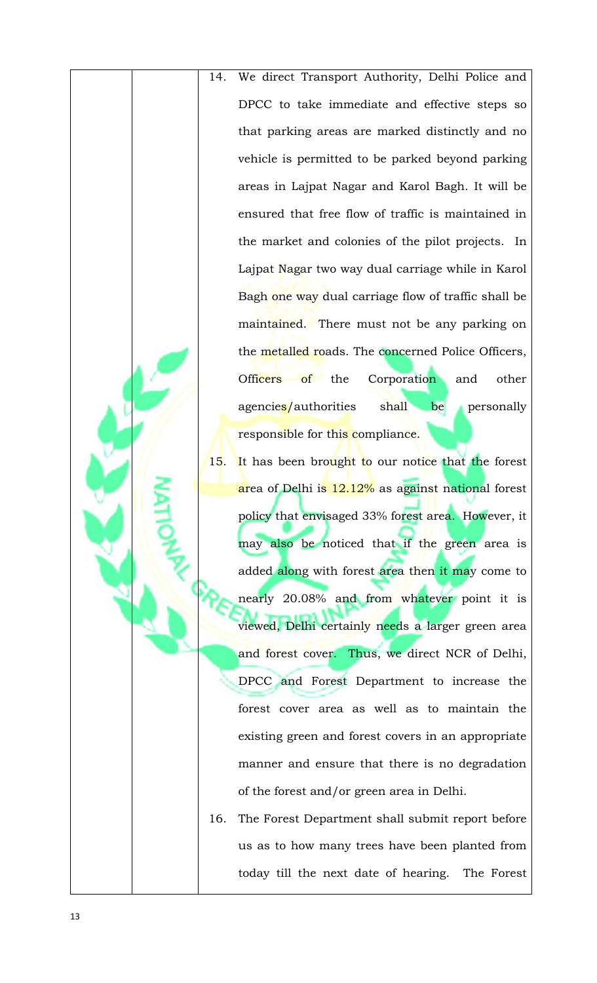- 14. We direct Transport Authority, Delhi Police and DPCC to take immediate and effective steps so that parking areas are marked distinctly and no vehicle is permitted to be parked beyond parking areas in Lajpat Nagar and Karol Bagh. It will be ensured that free flow of traffic is maintained in the market and colonies of the pilot projects. In Lajpat Nagar two way dual carriage while in Karol Bagh one way dual carriage flow of traffic shall be maintained. There must not be any parking on the metalled roads. The concerned Police Officers, Officers of the Corporation and other agencies/authorities shall be personally responsible for this compliance.
- 15. It has been brought to our notice that the forest area of Delhi is 12.12% as against national forest policy that envisaged 33% forest area. However, it may also be noticed that if the green area is added along with forest area then it may come to nearly 20.08% and from whatever point it is viewed, Delhi certainly n<mark>ee</mark>ds a larger green area and forest cover. Thus, we direct NCR of Delhi, DPCC and Forest Department to increase the forest cover area as well as to maintain the existing green and forest covers in an appropriate manner and ensure that there is no degradation of the forest and/or green area in Delhi.
- 16. The Forest Department shall submit report before us as to how many trees have been planted from today till the next date of hearing. The Forest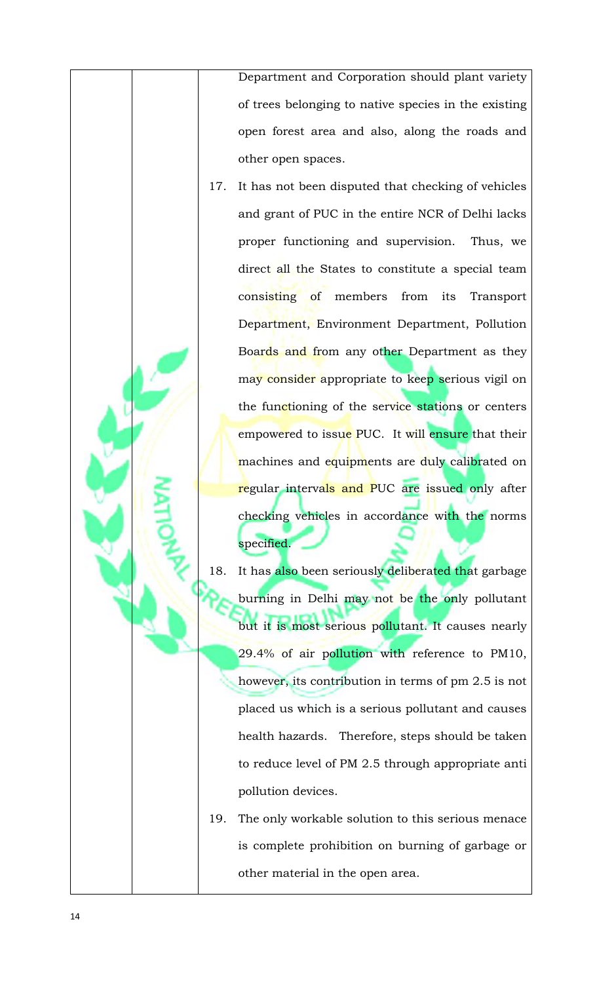Department and Corporation should plant variety of trees belonging to native species in the existing open forest area and also, along the roads and other open spaces.

- 17. It has not been disputed that checking of vehicles and grant of PUC in the entire NCR of Delhi lacks proper functioning and supervision. Thus, we direct all the States to constitute a special team consisting of members from its Transport Department, Environment Department, Pollution Boards and from any other Department as they may consider appropriate to keep serious vigil on the functioning of the service stations or centers empowered to issue PUC. It will ensure that their machines and equipments are duly calibrated on <mark>re</mark>gular intervals and PUC are issued only after checking vehicles in accordance with the norms specified.
- 18. It has also been seriously deliberated that garbage burning in Delhi may not be the only pollutant but it is most serious pollutant. It causes nearly 29.4% of air pollution with reference to PM10, however, its contribution in terms of pm 2.5 is not placed us which is a serious pollutant and causes health hazards. Therefore, steps should be taken to reduce level of PM 2.5 through appropriate anti pollution devices.
- 19. The only workable solution to this serious menace is complete prohibition on burning of garbage or other material in the open area.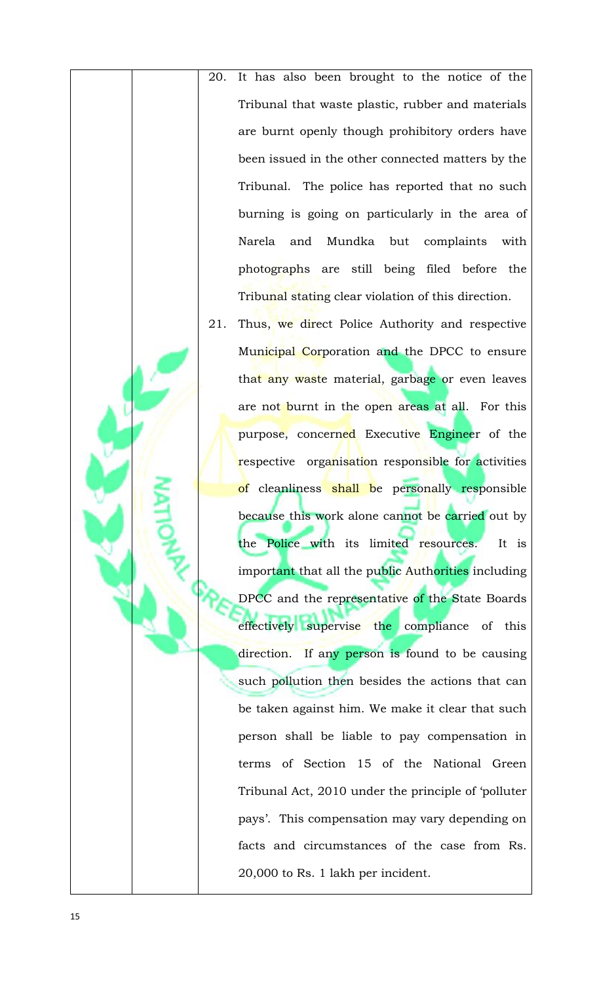- 20. It has also been brought to the notice of the Tribunal that waste plastic, rubber and materials are burnt openly though prohibitory orders have been issued in the other connected matters by the Tribunal. The police has reported that no such burning is going on particularly in the area of Narela and Mundka but complaints with photographs are still being filed before the Tribunal stating clear violation of this direction.
- 21. Thus, we direct Police Authority and respective Municipal Corporation and the DPCC to ensure that any waste material, garbage or even leaves are not burnt in the open areas at all. For this purpose, concerned Executive Engineer of the respective organisation responsible for activities of cleanliness shall be personally responsible because this work alone cannot be carried out by the Police with its limited resources. It is important that all the public Authorities including DPCC and the representative of the State Boards effectively supervise the compliance of this direction. If any person is found to be causing such pollution then besides the actions that can be taken against him. We make it clear that such person shall be liable to pay compensation in terms of Section 15 of the National Green Tribunal Act, 2010 under the principle of 'polluter pays'. This compensation may vary depending on facts and circumstances of the case from Rs. 20,000 to Rs. 1 lakh per incident.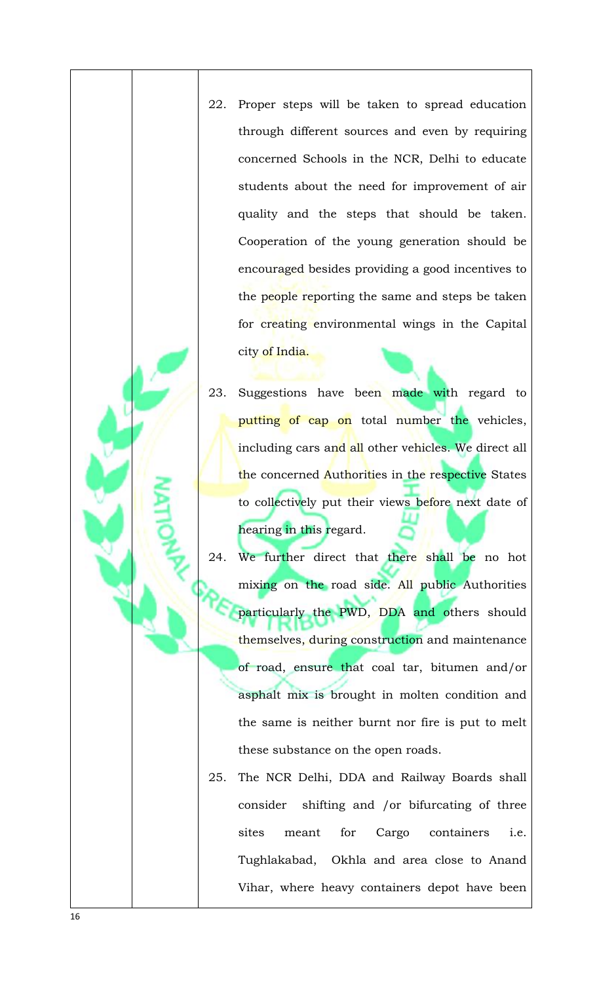- 22. Proper steps will be taken to spread education through different sources and even by requiring concerned Schools in the NCR, Delhi to educate students about the need for improvement of air quality and the steps that should be taken. Cooperation of the young generation should be encouraged besides providing a good incentives to the people reporting the same and steps be taken for creating environmental wings in the Capital city of India.
- 23. Suggestions have been made with regard to putting of cap on total number the vehicles, including cars and all other vehicles. We direct all the concerned Authorities in the respective States to collectively put their views before next date of hearing in this regard.
- 24. We further direct that there shall be no hot mixing on the road side. All public Authorities particularly the PWD, DDA and others should themselves, during construction and maintenance of road, ensure that coal tar, bitumen and/or asphalt mix is brought in molten condition and the same is neither burnt nor fire is put to melt these substance on the open roads.
- 25. The NCR Delhi, DDA and Railway Boards shall consider shifting and /or bifurcating of three sites meant for Cargo containers i.e. Tughlakabad, Okhla and area close to Anand Vihar, where heavy containers depot have been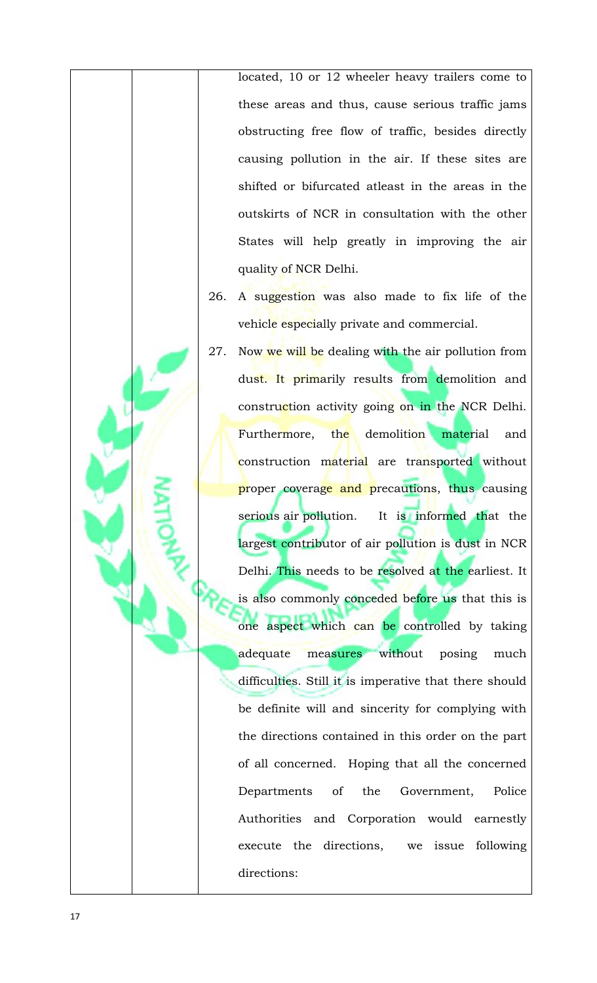located, 10 or 12 wheeler heavy trailers come to these areas and thus, cause serious traffic jams obstructing free flow of traffic, besides directly causing pollution in the air. If these sites are shifted or bifurcated atleast in the areas in the outskirts of NCR in consultation with the other States will help greatly in improving the air quality of NCR Delhi.

- 26. A suggestion was also made to fix life of the vehicle especially private and commercial.
- 27. Now we will be dealing with the air pollution from dust. It primarily results from demolition and construction activity going on in the NCR Delhi. Furthermore, the demolition material and construction material are transported without proper coverage and precautions, thus causing serious air pollution. It is informed that the largest contributor of air pollution is dust in NCR Delhi. This needs to be resolved at the earliest. It is also commonly conceded before us that this is one aspect which can be controlled by taking adequate measures without posing much difficulties. Still it is imperative that there should be definite will and sincerity for complying with the directions contained in this order on the part of all concerned. Hoping that all the concerned Departments of the Government, Police Authorities and Corporation would earnestly execute the directions, we issue following directions: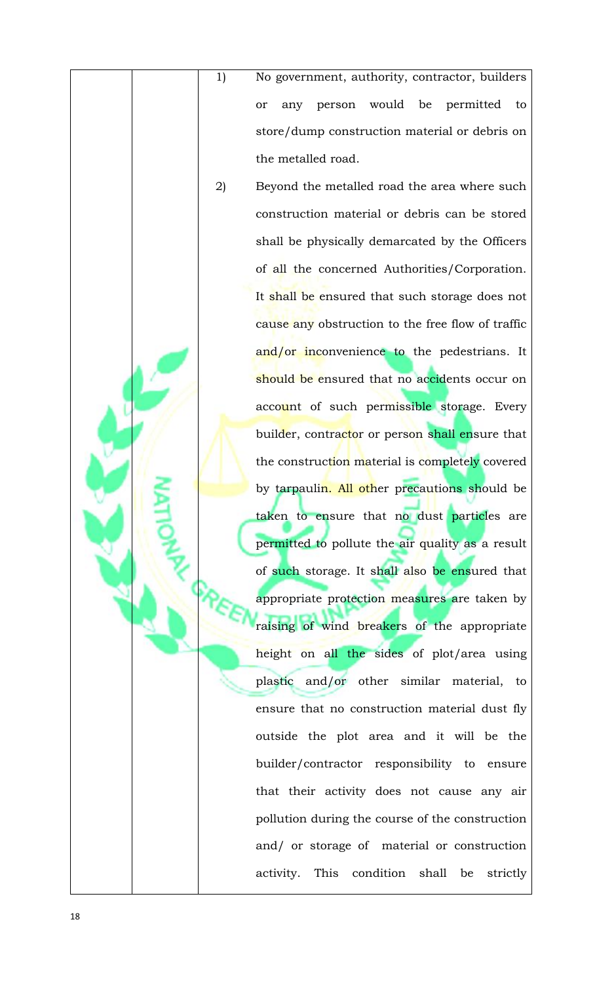1) No government, authority, contractor, builders or any person would be permitted to store/dump construction material or debris on the metalled road.

2) Beyond the metalled road the area where such construction material or debris can be stored shall be physically demarcated by the Officers of all the concerned Authorities/Corporation. It shall be ensured that such storage does not cause any obstruction to the free flow of traffic and/or inconvenience to the pedestrians. It should be ensured that no accidents occur on account of such permissible storage. Every builder, contractor or person shall ensure that the construction material is completely covered by tarpaulin. All other precautions should be taken to ensure that no dust particles are permitted to pollute the air quality as a result of such storage. It shall also be ensured that appropriate protection measures are taken by raising of wind breakers of the appropriate height on all the sides of plot/area using plastic and/or other similar material, to ensure that no construction material dust fly outside the plot area and it will be the builder/contractor responsibility to ensure that their activity does not cause any air pollution during the course of the construction and/ or storage of material or construction activity. This condition shall be strictly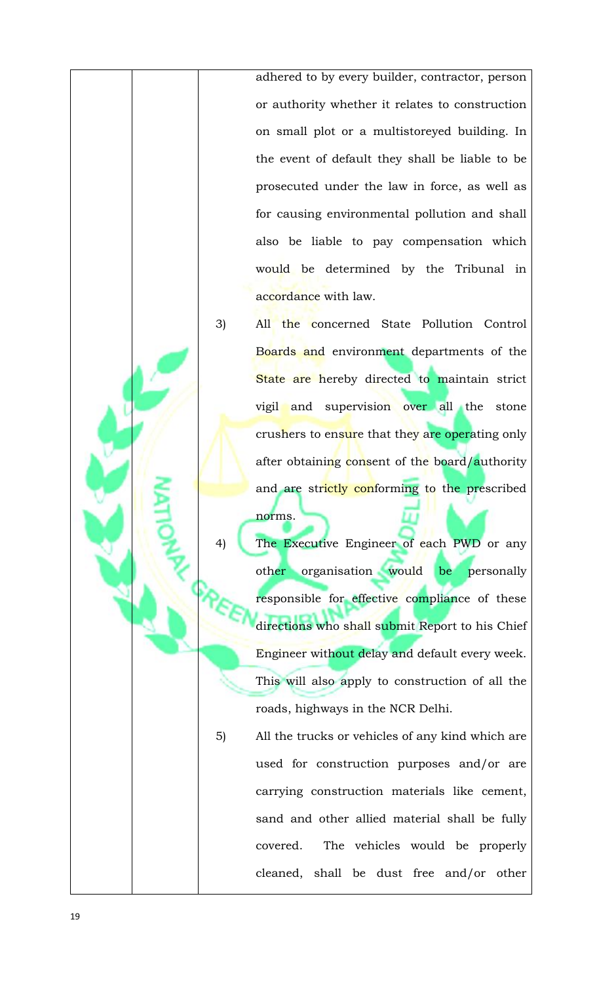adhered to by every builder, contractor, person or authority whether it relates to construction on small plot or a multistoreyed building. In the event of default they shall be liable to be prosecuted under the law in force, as well as for causing environmental pollution and shall also be liable to pay compensation which would be determined by the Tribunal in accordance with law.

3) All the concerned State Pollution Control Boards and environment departments of the State are hereby directed to maintain strict vigil and supervision over all the stone crushers to ensure that they are operating only after obtaining consent of the board/authority and are strictly conforming to the prescribed norms.

The Executive Engineer of each PWD or any other organisation would be personally responsible for effective compliance of these directions who shall submit Report to his Chief Engineer without delay and default every week. This will also apply to construction of all the roads, highways in the NCR Delhi.

5) All the trucks or vehicles of any kind which are used for construction purposes and/or are carrying construction materials like cement, sand and other allied material shall be fully covered. The vehicles would be properly cleaned, shall be dust free and/or other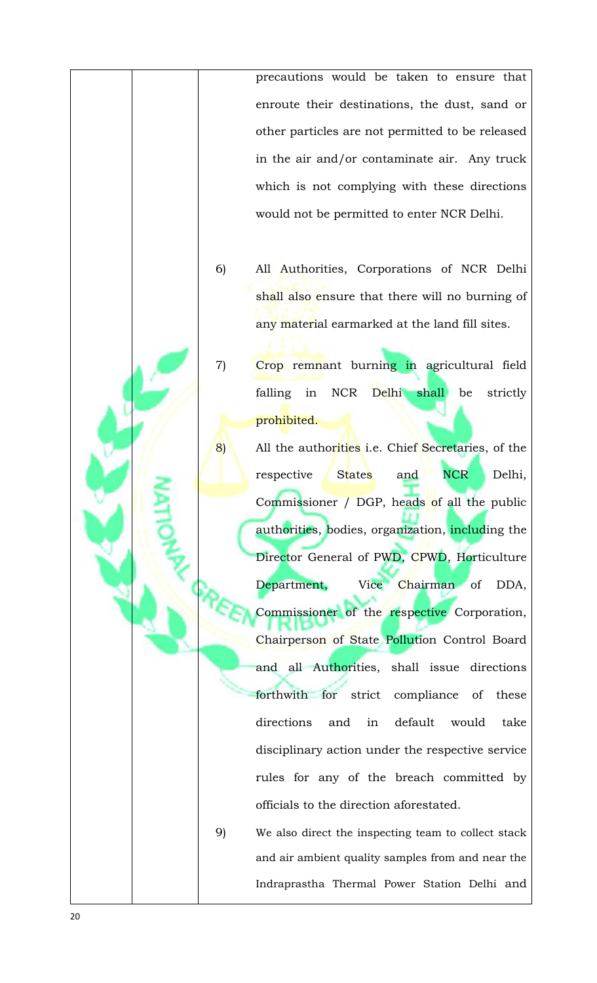precautions would be taken to ensure that enroute their destinations, the dust, sand or other particles are not permitted to be released in the air and/or contaminate air. Any truck which is not complying with these directions would not be permitted to enter NCR Delhi.

- 6) All Authorities, Corporations of NCR Delhi shall also ensure that there will no burning of any material earmarked at the land fill sites.
- 7) Crop remnant burning in agricultural field falling in NCR Delhi shall be strictly prohibited.
- 8) All the authorities i.e. Chief Secretaries, of the respective States and NCR Delhi, Commissioner / DGP, heads of all the public authorities, bodies, organization, including the Director General of PWD, CPWD, Horticulture Department, Vice Chairman of DDA, Commissioner of the respective Corporation, Chairperson of State Pollution Control Board and all Authorities, shall issue directions forthwith for strict compliance of these directions and in default would take disciplinary action under the respective service rules for any of the breach committed by officials to the direction aforestated.

9) We also direct the inspecting team to collect stack and air ambient quality samples from and near the Indraprastha Thermal Power Station Delhi and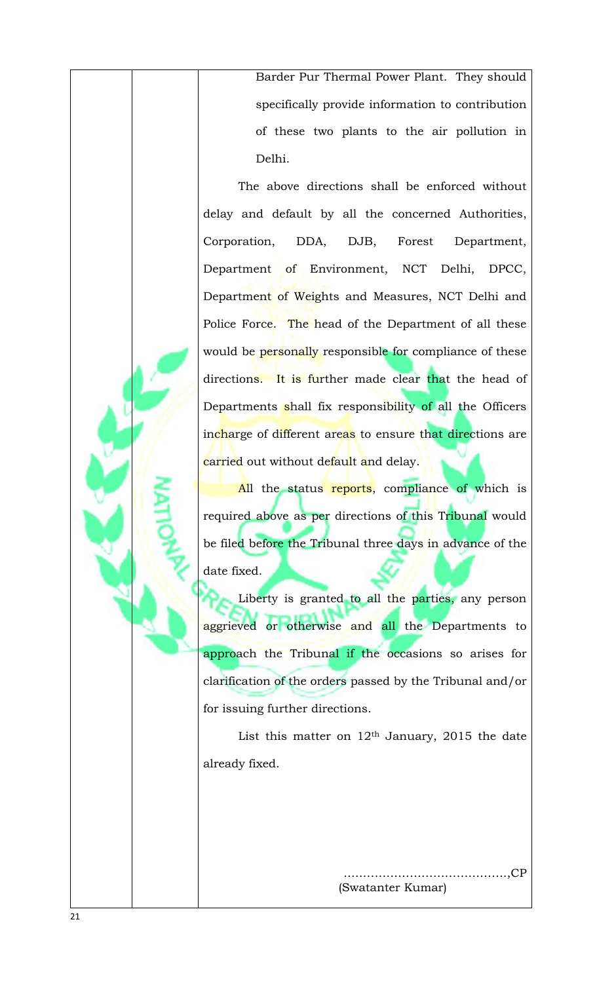Barder Pur Thermal Power Plant. They should specifically provide information to contribution of these two plants to the air pollution in Delhi.

The above directions shall be enforced without delay and default by all the concerned Authorities, Corporation, DDA, DJB, Forest Department, Department of Environment, NCT Delhi, DPCC, Department of Weights and Measures, NCT Delhi and Police Force. The head of the Department of all these would be personally responsible for compliance of these directions. It is further made clear that the head of Departments shall fix responsibility of all the Officers incharge of different areas to ensure that directions are carried out without default and delay.

All the status reports, compliance of which is required above as per directions of this Tribunal would be filed before the Tribunal three days in advance of the date fixed.

Liberty is granted to all the parties, any person aggrieved or otherwise and all the Departments to approach the Tribunal if the occasions so arises for clarification of the orders passed by the Tribunal and/or for issuing further directions.

List this matter on  $12<sup>th</sup>$  January, 2015 the date already fixed.

> ..………………………………….,CP (Swatanter Kumar)